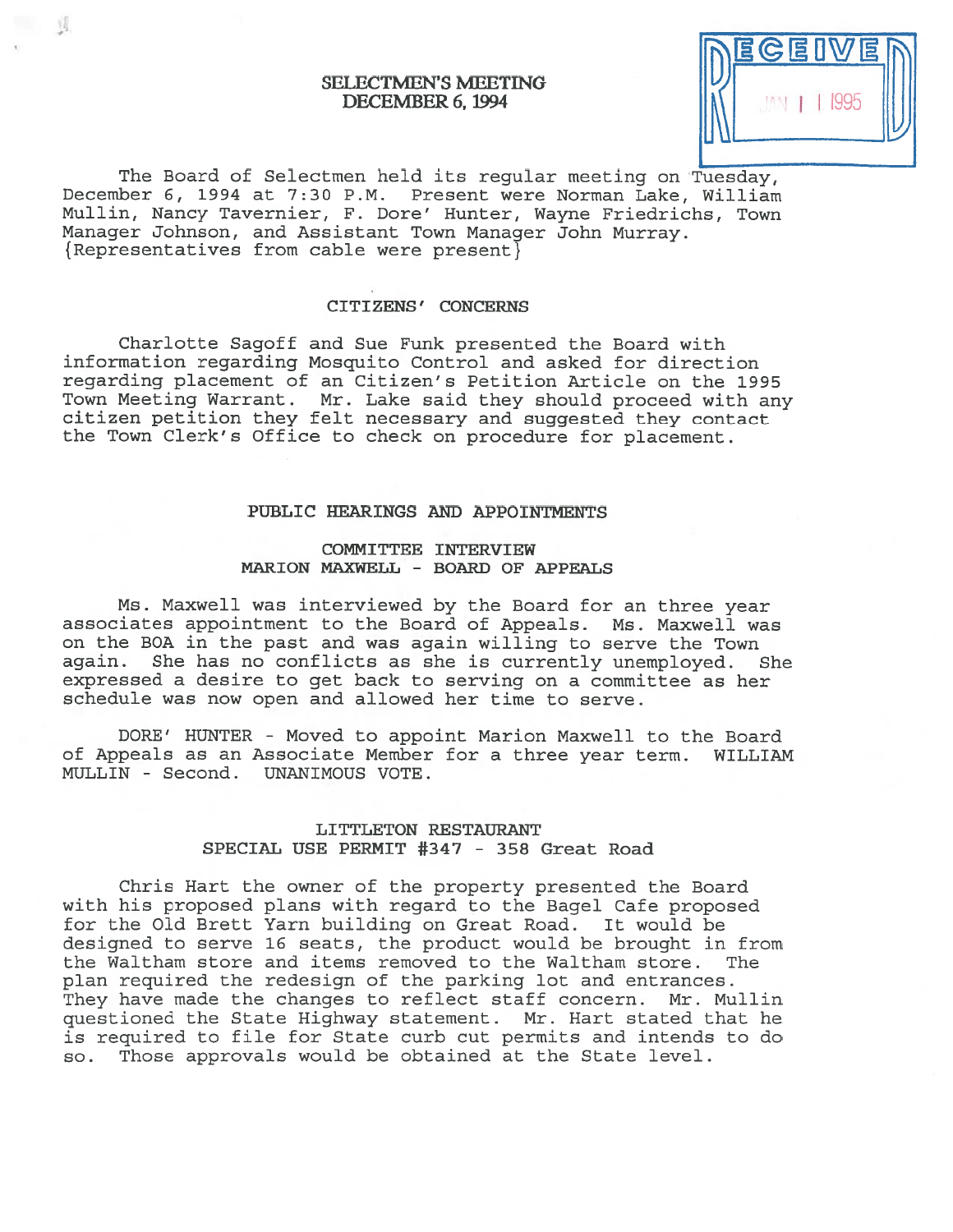# SELECTMEN'S MEETING DECEMBER 6, 1994

 $\mathcal{N}$ 

The Board of Selectmen held its regular meeting on Tuesday, December 6, 1994 at 7:30 P.M. Present were Norman Lake, William Mullin, Nancy Tavernier, F. Dore' Hunter, Wayne Friedrichs, Town Manager Johnson, and Assistant Town Manager John Murray. { Representatives from cable were present}

## CITIZENS' CONCERNS

Charlotte Sagoff and Sue Funk presented the Board with information regarding Mosquito Control and asked for direction regarding placement of an Citizen's Petition Article on the 1995 Town Meeting Warrant. Mr. Lake said they should proceed with any citizen petition they felt necessary and suggested they contact the Town Clerk's Office to check on procedure for <sup>p</sup>lacement.

## PUBLIC HEARINGS AND APPOINTMENTS

# COMMITTEE INTERVIEW MARION MAXWELL - BOARD OF APPEALS

Ms. Maxwell was interviewed by the Board for an three year associates appointment to the Board of Appeals. Ms. Maxwell was on the BOA in the pas<sup>t</sup> and was again willing to serve the Town again. She has no conflicts as she is currently unemployed. She expressed <sup>a</sup> desire to ge<sup>t</sup> back to serving on <sup>a</sup> committee as her schedule was now open and allowed her time to serve.

DORE' HUNTER - Moved to appoint Marion Maxwell to the Board of Appeals as an Associate Member for <sup>a</sup> three year term. WILLIAM MULLIN - Second. UNANIMOUS VOTE.

# LITTLETON RESTAURANT SPECIAL USE PERMIT #347 - 358 Great Road

Chris Hart the owner of the property presented the Board with his proposed plans with regard to the Bagel Cafe proposed for the Old Brett Yarn building on Great Road. It would be designed to serve 16 seats, the product would be brought in from the Waltham store and items removed to the Waltham store. The plan required the redesign of the parking lot and entrances. They have made the changes to reflect staff concern. Mr. Mullin questioned the State Highway statement. Mr. Hart stated that he is required to file for State curb cut permits and intends to do so. Those approvals would be obtained at the State level.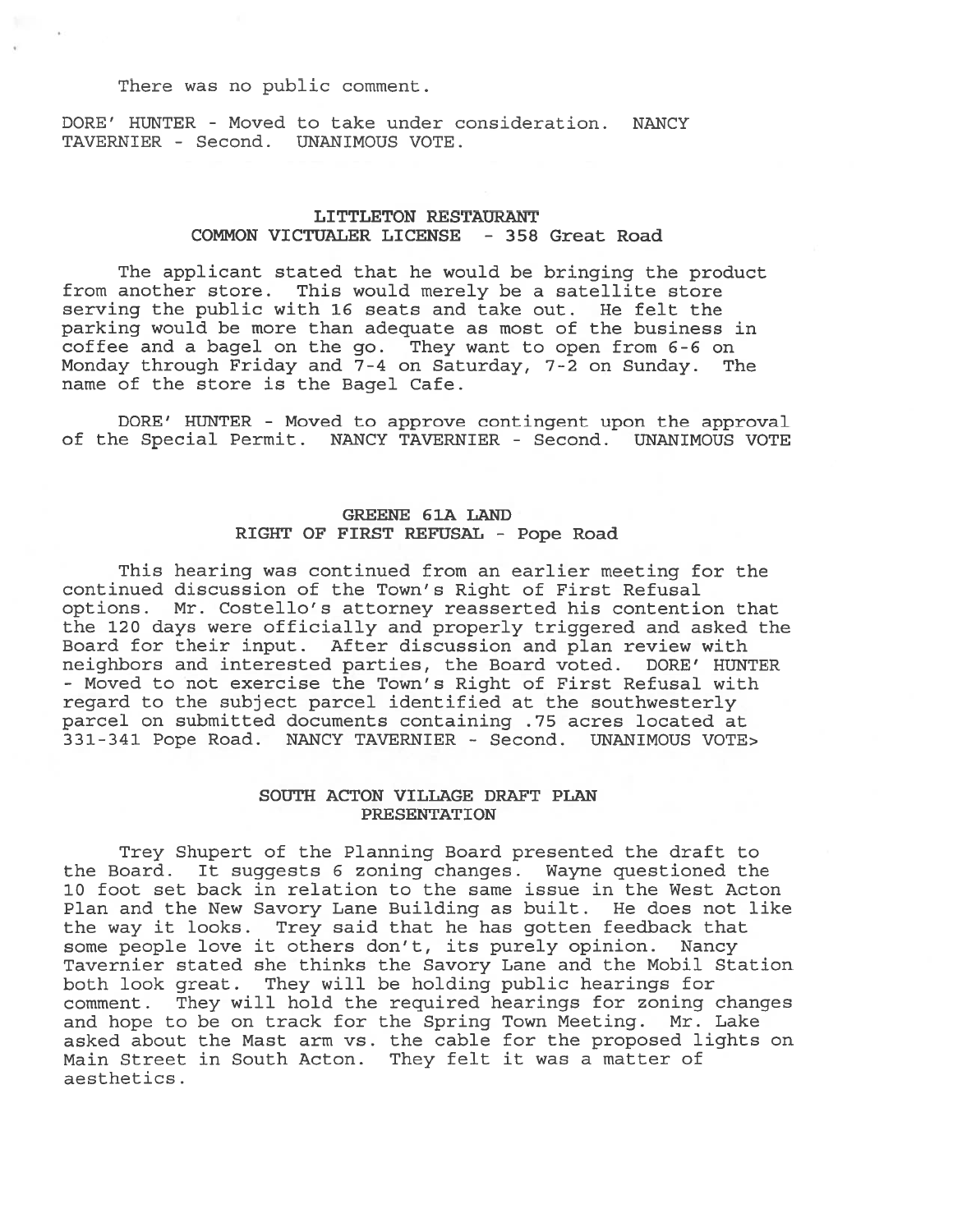There was no public comment.

DORE' HUNTER - Moved to take under consideration. NANCY TAVERNIER - Second. UNANIMOUS VOTE.

# LITTLETON RESTAURANT COMMON VICTUALER LICENSE - 358 Great Road

The applicant stated that he would be bringing the product from another store. This would merely be <sup>a</sup> satellite store serving the public with 16 seats and take out. He felt the parking would be more than adequate as most of the business in coffee and <sup>a</sup> bagel on the go. They want to open from 6-6 on Monday through Friday and 7-4 on Saturday, 7-2 on Sunday. The name of the store is the Bagel Cafe.

BORE' HUNTER - Moved to approve contingent upon the approval of the Special Permit. NANCY TAVERNIER - Second. UNANIMOUS VOTE

# GREENE 6 1A LAND RIGHT OF FIRST REFUSAL - Pope Road

This hearing was continued from an earlier meeting for the continued discussion of the Town's Right of First Refusal options. Mr. Costello's attorney reasserted his contention that the 120 days were officially and properly triggered and asked the Board for their input. After discussion and plan review with neighbors and interested parties, the Board voted. DORE' HUNTER - Moved to not exercise the Town's Right of First Refusal with regard to the subject parcel identified at the southwesterly parcel on submitted documents containing .75 acres located at 331-341 Pope Road. NANCY TAVERNIER - Second. UNANIMOUS VOTE>

## SOUTH ACTON VILLAGE DRAFT PLAN PRESENTATION

Trey Shupert of the Planning Board presented the draft to the Board. It suggests 6 zoning changes. Wayne questioned the 10 foot set back in relation to the same issue in the West Acton Plan and the New Savory Lane Building as built. He does not like the way it looks. Trey said that he has gotten feedback that some people love it others don't, its purely opinion. Nancy Tavernier stated she thinks the Savory Lane and the Mobil Station both look great. They will be holding public hearings for comment. They will hold the required hearings for zoning changes and hope to be on track for the Spring Town Meeting. Mr. Lake asked about the Mast arm vs. the cable for the proposed lights on Main Street in South Acton. They felt it was <sup>a</sup> matter of aesthetics.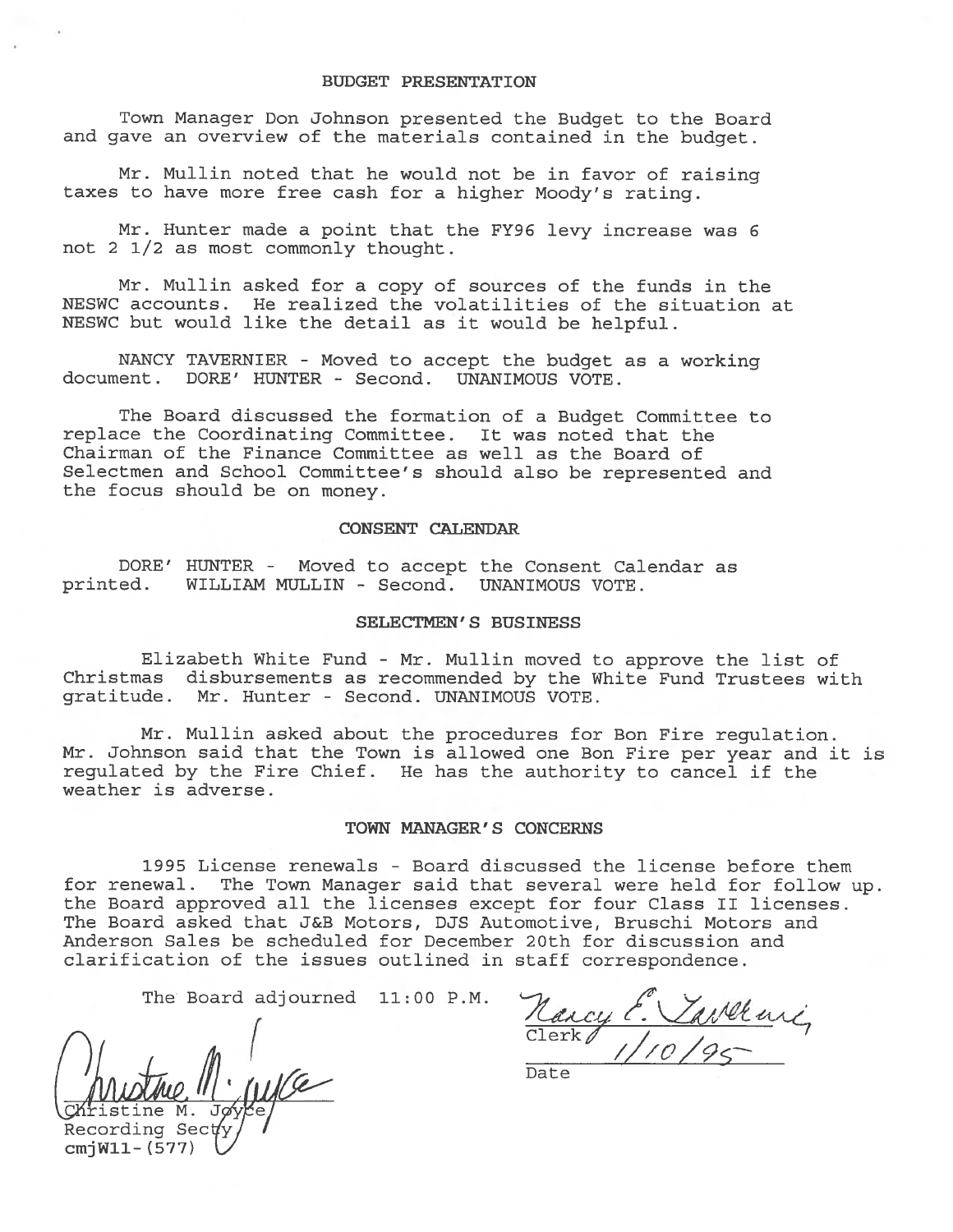Town Manager Don Johnson presented the Budget to the Board and gave an overview of the materials contained in the budget.

Mr. Mullin noted that he would not be in favor of raising taxes to have more free cash for <sup>a</sup> higher Moody's rating.

Mr. Hunter made <sup>a</sup> point that the FY96 levy increase was <sup>6</sup> not 2 1/2 as most commonly thought.

Mr. Mullin asked for <sup>a</sup> copy of sources of the funds in the NESWC accounts. He realized the volatilities of the situation at NESWC but would like the detail as it would be helpful.

NANCY TAVERNIER - Moved to accept the budget as a working document. DORE' HUNTER - Second. UNANIMOUS VOTE.

The Board discussed the formation of <sup>a</sup> Budget Committee to replace the Coordinating Committee. It was noted that the Chairman of the Finance Committee as well as the Board of Selectmen and School Committee's should also be represented and the focus should be on money.

#### CONSENT CALENDAR

DORE' HUNTER - Moved to accep<sup>t</sup> the Consent Calendar as printed. WILLIAM MULLIN - Second. UNANIMOUS VOTE.

### SELECTMEN'S BUSINESS

Elizabeth White Fund - Mr. Mullin moved to approve the list of<br>Christmas disbursements as recommended by the White Fund Trustees with disbursements as recommended by the White Fund Trustees with gratitude. Mr. Hunter - Second. UNANIMOUS VOTE.

Mr. Mullin asked about the procedures for Bon Fire regulation. Mr. Johnson said that the Town is allowed one Eon Fire per year and it is regulated by the Fire Chief. He has the authority to cancel if the weather is adverse.

### TOWN MANAGER'S CONCERNS

1995 License renewals - Board discussed the license before them for renewal. The Town Manager said that several were held for follow up. the Board approved all the licenses excep<sup>t</sup> for four Class II licenses. The Board asked that J&B Motors, DJS Automotive, Bruschi Motors and Anderson Sales be scheduled for December 20th for discussion and clarification of the issues outlined in staff correspondence.

The Board adjourned 11:00 P.M.

ristine M. Recording Sec cmjWll- (577)

Raicy  $Clerk$  /  $1$ ///O/9ç-

Date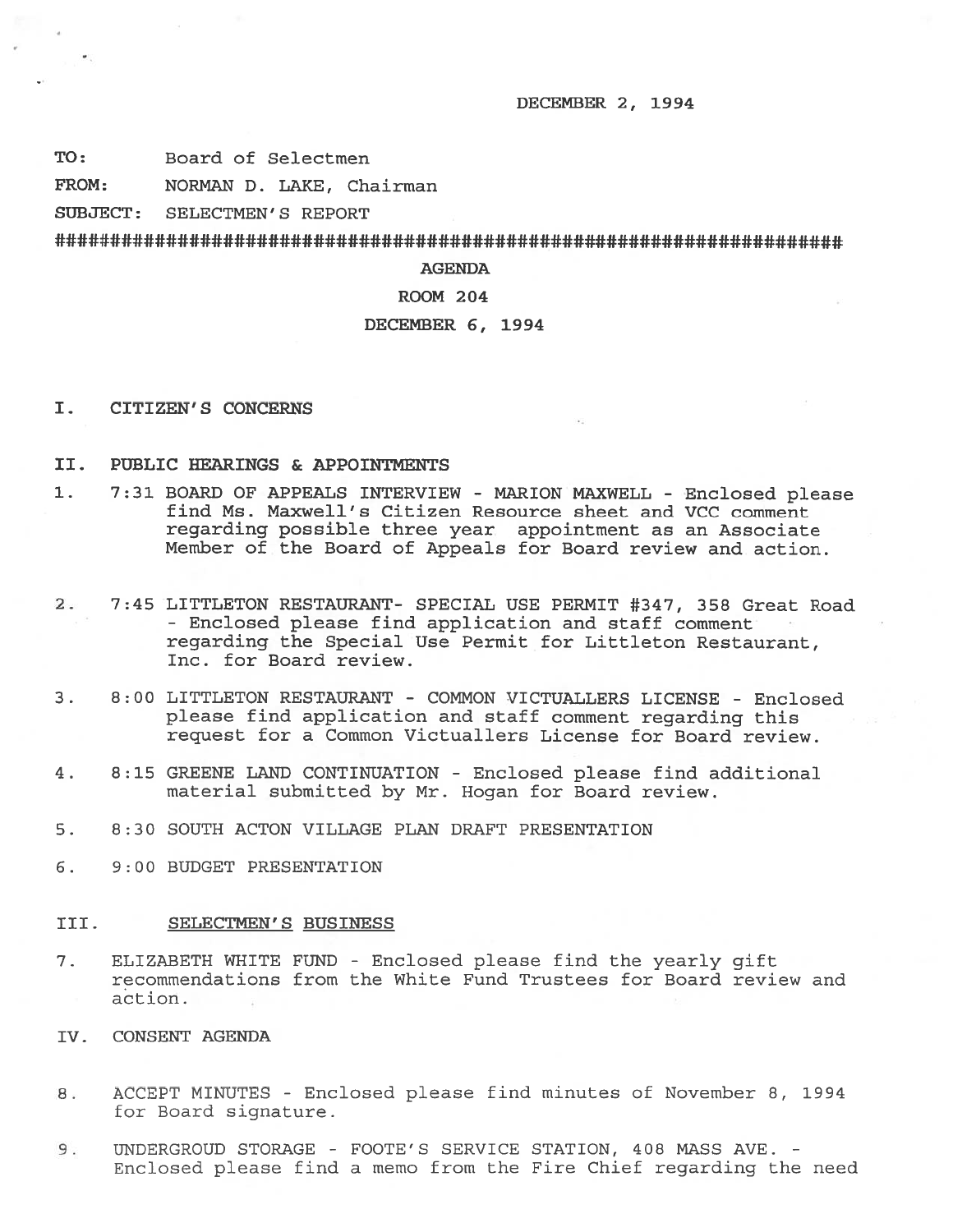#### DECEMBER 2, 1994

TO: Board of Selectmen

FROM: NORMAN D. LAKE, Chairman

SUBJECT: SELECTMEN'S REPORT

#########################################################

# AGENDA

### ROOM 204

# DECEMBER 6, 1994

I. CITIZEN'S CONCERNS

## II. PUBLIC HEARINGS & APPOINTMENTS

- 1. 7:31 BOARD OF APPEALS INTERVIEW MARION MAXWELL Enclosed <sup>p</sup>lease find Ms. Maxwell's Citizen Resource sheet and VCC comment regarding possible three year appointment as an Associate Member of the Board of Appeals for Board review and action.
- 2. 7:45 LITTLETON RESTAURANT- SPECIAL USE PERMIT #347, 358 Great Road - Enclosed please find application and staff comment regarding the Special Use Permit for Littleton Restaurant, Inc. for Board review.
- 3. 8:00 LITTLETON RESTAURANT COMMON VICTUALLERS LICENSE Enclosed please find application and staff comment regarding this reques<sup>t</sup> for <sup>a</sup> Common Victuallers License for Board review.
- 4. 8:15 GREENE LAND CONTINUATION Enclosed please find additional material submitted by Mr. Hogan for Board review.
- 5. 8:30 SOUTH ACTON VILLAGE PLAN DRAFT PRESENTATION
- 6. 9:00 BUDGET PRESENTATION

# III. SELECTMEN'S BUSINESS

- 7. ELIZABETH WHITE FUND Enclosed please find the yearly gift recommendations from the White Fund Trustees for Board review and action.
- IV. CONSENT AGENDA
- 8. ACCEPT MINUTES Enclosed please find minutes of November 8, 1994 for Board signature.
- 9. UNDERGROUD STORAGE FOOTE'S SERVICE STATION, 408 MASS AVE. -Enclosed please find <sup>a</sup> memo from the Fire Chief regarding the need